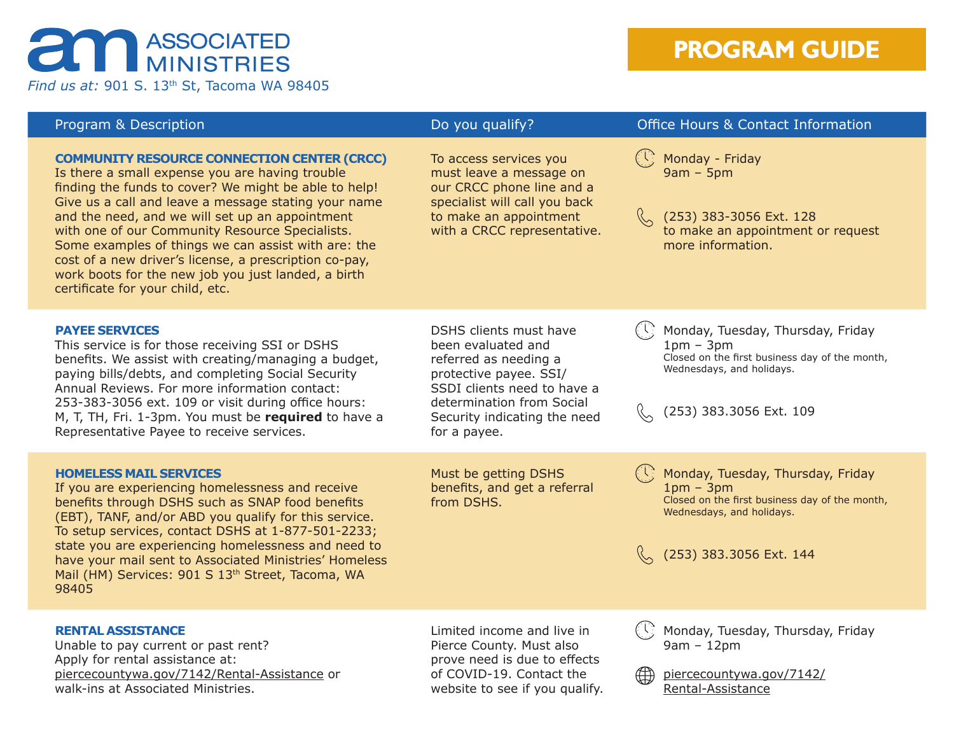## **an ASSOCIATED**

*Find us at:* 901 S. 13th St, Tacoma WA 98405

## **PROGRAM GUIDE**

| Program & Description                                                                                                                                                                                                                                                                                                                                                                                                                                                                                                                    | Do you qualify?                                                                                                                                                                                             | <b>Office Hours &amp; Contact Information</b>                                                                                                              |
|------------------------------------------------------------------------------------------------------------------------------------------------------------------------------------------------------------------------------------------------------------------------------------------------------------------------------------------------------------------------------------------------------------------------------------------------------------------------------------------------------------------------------------------|-------------------------------------------------------------------------------------------------------------------------------------------------------------------------------------------------------------|------------------------------------------------------------------------------------------------------------------------------------------------------------|
| <b>COMMUNITY RESOURCE CONNECTION CENTER (CRCC)</b><br>Is there a small expense you are having trouble<br>finding the funds to cover? We might be able to help!<br>Give us a call and leave a message stating your name<br>and the need, and we will set up an appointment<br>with one of our Community Resource Specialists.<br>Some examples of things we can assist with are: the<br>cost of a new driver's license, a prescription co-pay,<br>work boots for the new job you just landed, a birth<br>certificate for your child, etc. | To access services you<br>must leave a message on<br>our CRCC phone line and a<br>specialist will call you back<br>to make an appointment<br>with a CRCC representative.                                    | Monday - Friday<br>$9am - 5pm$<br>(253) 383-3056 Ext. 128<br>to make an appointment or request<br>more information.                                        |
| <b>PAYEE SERVICES</b><br>This service is for those receiving SSI or DSHS<br>benefits. We assist with creating/managing a budget,<br>paying bills/debts, and completing Social Security<br>Annual Reviews. For more information contact:<br>253-383-3056 ext. 109 or visit during office hours:<br>M, T, TH, Fri. 1-3pm. You must be required to have a<br>Representative Payee to receive services.                                                                                                                                      | DSHS clients must have<br>been evaluated and<br>referred as needing a<br>protective payee. SSI/<br>SSDI clients need to have a<br>determination from Social<br>Security indicating the need<br>for a payee. | Monday, Tuesday, Thursday, Friday<br>$1pm - 3pm$<br>Closed on the first business day of the month,<br>Wednesdays, and holidays.<br>(253) 383.3056 Ext. 109 |
| <b>HOMELESS MAIL SERVICES</b><br>If you are experiencing homelessness and receive<br>benefits through DSHS such as SNAP food benefits<br>(EBT), TANF, and/or ABD you qualify for this service.<br>To setup services, contact DSHS at 1-877-501-2233;<br>state you are experiencing homelessness and need to<br>have your mail sent to Associated Ministries' Homeless<br>Mail (HM) Services: 901 S 13th Street, Tacoma, WA<br>98405                                                                                                      | Must be getting DSHS<br>benefits, and get a referral<br>from DSHS.                                                                                                                                          | Monday, Tuesday, Thursday, Friday<br>$1pm - 3pm$<br>Closed on the first business day of the month,<br>Wednesdays, and holidays.<br>(253) 383.3056 Ext. 144 |
| <b>RENTAL ASSISTANCE</b><br>Unable to pay current or past rent?<br>Apply for rental assistance at:<br>piercecountywa.gov/7142/Rental-Assistance or<br>walk-ins at Associated Ministries.                                                                                                                                                                                                                                                                                                                                                 | Limited income and live in<br>Pierce County. Must also<br>prove need is due to effects<br>of COVID-19. Contact the<br>website to see if you qualify.                                                        | Monday, Tuesday, Thursday, Friday<br>$9am - 12pm$<br>piercecountywa.gov/7142/<br>$\oplus$<br>Rental-Assistance                                             |